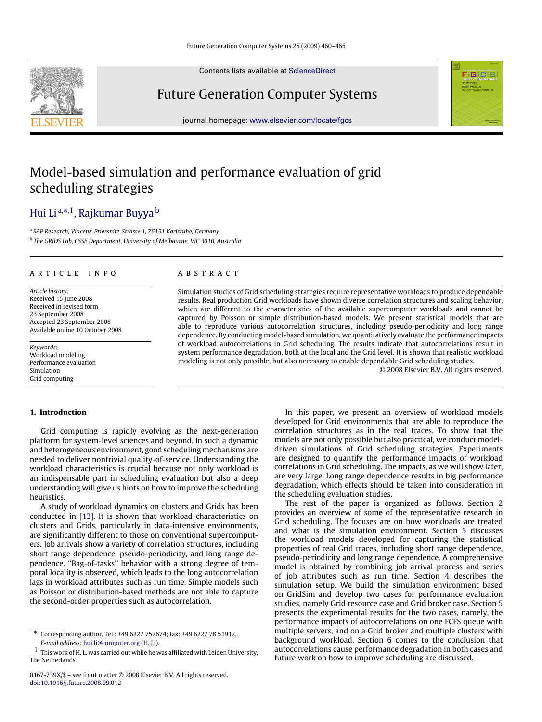Contents lists available at [ScienceDirect](http://www.elsevier.com/locate/fgcs)

## Future Generation Computer Systems

journal homepage: [www.elsevier.com/locate/fgcs](http://www.elsevier.com/locate/fgcs)

# Model-based simulation and performance evaluation of grid scheduling strategies

## Hui Li <sup>a,∗,1</sup>, Rajkumar Buyya <sup>b</sup>

a *SAP Research, Vincenz-Priessnitz-Strasse 1, 76131 Karlsruhe, Germany*

b *The GRIDS Lab, CSSE Department, University of Melbourne, VIC 3010, Australia*

#### ARTICLE INFO

*Article history:* Received 15 June 2008 Received in revised form 23 September 2008 Accepted 23 September 2008 Available online 10 October 2008

*Keywords:* Workload modeling Performance evaluation Simulation Grid computing

## **1. Introduction**

Grid computing is rapidly evolving as the next-generation platform for system-level sciences and beyond. In such a dynamic and heterogeneous environment, good scheduling mechanisms are needed to deliver nontrivial quality-of-service. Understanding the workload characteristics is crucial because not only workload is an indispensable part in scheduling evaluation but also a deep understanding will give us hints on how to improve the scheduling heuristics.

A study of workload dynamics on clusters and Grids has been conducted in [13]. It is shown that workload characteristics on clusters and Grids, particularly in data-intensive environments, are significantly different to those on conventional supercomputers. Job arrivals show a variety of correlation structures, including short range dependence, pseudo-periodicity, and long range dependence. ''Bag-of-tasks'' behavior with a strong degree of temporal locality is observed, which leads to the long autocorrelation lags in workload attributes such as run time. Simple models such as Poisson or distribution-based methods are not able to capture the second-order properties such as autocorrelation.

#### a b s t r a c t

Simulation studies of Grid scheduling strategies require representative workloads to produce dependable results. Real production Grid workloads have shown diverse correlation structures and scaling behavior, which are different to the characteristics of the available supercomputer workloads and cannot be captured by Poisson or simple distribution-based models. We present statistical models that are able to reproduce various autocorrelation structures, including pseudo-periodicity and long range dependence. By conducting model-based simulation, we quantitatively evaluate the performance impacts of workload autocorrelations in Grid scheduling. The results indicate that autocorrelations result in system performance degradation, both at the local and the Grid level. It is shown that realistic workload modeling is not only possible, but also necessary to enable dependable Grid scheduling studies.

© 2008 Elsevier B.V. All rights reserved.

FIGICIS

In this paper, we present an overview of workload models developed for Grid environments that are able to reproduce the correlation structures as in the real traces. To show that the models are not only possible but also practical, we conduct modeldriven simulations of Grid scheduling strategies. Experiments are designed to quantify the performance impacts of workload correlations in Grid scheduling. The impacts, as we will show later, are very large. Long range dependence results in big performance degradation, which effects should be taken into consideration in the scheduling evaluation studies.

The rest of the paper is organized as follows. Section 2 provides an overview of some of the representative research in Grid scheduling. The focuses are on how workloads are treated and what is the simulation environment. Section 3 discusses the workload models developed for capturing the statistical properties of real Grid traces, including short range dependence, pseudo-periodicity and long range dependence. A comprehensive model is obtained by combining job arrival process and series of job attributes such as run time. Section 4 describes the simulation setup. We build the simulation environment based on GridSim and develop two cases for performance evaluation studies, namely Grid resource case and Grid broker case. Section 5 presents the experimental results for the two cases, namely, the performance impacts of autocorrelations on one FCFS queue with multiple servers, and on a Grid broker and multiple clusters with background workload. Section 6 comes to the conclusion that autocorrelations cause performance degradation in both cases and future work on how to improve scheduling are discussed.



<sup>∗</sup> Corresponding author. Tel.: +49 6227 752674; fax: +49 6227 78 51912. *E-mail address:* [hui.li@computer.org](mailto:hui.li@computer.org) (H. Li).

 $1$  This work of H. L. was carried out while he was affiliated with Leiden University, The Netherlands.

<sup>0167-739</sup>X/\$ – see front matter © 2008 Elsevier B.V. All rights reserved. [doi:10.1016/j.future.2008.09.012](http://dx.doi.org/10.1016/j.future.2008.09.012)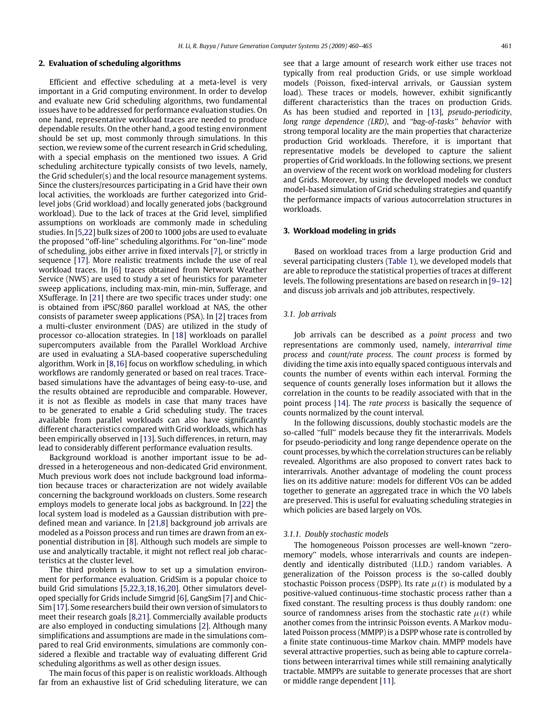#### **2. Evaluation of scheduling algorithms**

Efficient and effective scheduling at a meta-level is very important in a Grid computing environment. In order to develop and evaluate new Grid scheduling algorithms, two fundamental issues have to be addressed for performance evaluation studies. On one hand, representative workload traces are needed to produce dependable results. On the other hand, a good testing environment should be set up, most commonly through simulations. In this section, we review some of the current research in Grid scheduling, with a special emphasis on the mentioned two issues. A Grid scheduling architecture typically consists of two levels, namely, the Grid scheduler(s) and the local resource management systems. Since the clusters/resources participating in a Grid have their own local activities, the workloads are further categorized into Gridlevel jobs (Grid workload) and locally generated jobs (background workload). Due to the lack of traces at the Grid level, simplified assumptions on workloads are commonly made in scheduling studies. In [5,22] bulk sizes of 200 to 1000 jobs are used to evaluate the proposed "off-line" scheduling algorithms. For "on-line" mode of scheduling, jobs either arrive in fixed intervals [7], or strictly in sequence [17]. More realistic treatments include the use of real workload traces. In [6] traces obtained from Network Weather Service (NWS) are used to study a set of heuristics for parameter sweep applications, including max-min, min-min, Sufferage, and XSufferage. In [21] there are two specific traces under study: one is obtained from iPSC/860 parallel workload at NAS, the other consists of parameter sweep applications (PSA). In [2] traces from a multi-cluster environment (DAS) are utilized in the study of processor co-allocation strategies. In [18] workloads on parallel supercomputers available from the Parallel Workload Archive are used in evaluating a SLA-based cooperative superscheduling algorithm. Work in [8,16] focus on workflow scheduling, in which workflows are randomly generated or based on real traces. Tracebased simulations have the advantages of being easy-to-use, and the results obtained are reproducible and comparable. However, it is not as flexible as models in case that many traces have to be generated to enable a Grid scheduling study. The traces available from parallel workloads can also have significantly different characteristics compared with Grid workloads, which has been empirically observed in [13]. Such differences, in return, may lead to considerably different performance evaluation results.

Background workload is another important issue to be addressed in a heterogeneous and non-dedicated Grid environment. Much previous work does not include background load information because traces or characterization are not widely available concerning the background workloads on clusters. Some research employs models to generate local jobs as background. In [22] the local system load is modeled as a Gaussian distribution with predefined mean and variance. In [21,8] background job arrivals are modeled as a Poisson process and run times are drawn from an exponential distribution in [8]. Although such models are simple to use and analytically tractable, it might not reflect real job characteristics at the cluster level.

The third problem is how to set up a simulation environment for performance evaluation. GridSim is a popular choice to build Grid simulations [5,22,3,18,16,20]. Other simulators developed specially for Grids include Simgrid [6], GangSim [7] and Chic-Sim [17]. Some researchers build their own version of simulators to meet their research goals [8,21]. Commercially available products are also employed in conducting simulations [2]. Although many simplifications and assumptions are made in the simulations compared to real Grid environments, simulations are commonly considered a flexible and tractable way of evaluating different Grid scheduling algorithms as well as other design issues.

The main focus of this paper is on realistic workloads. Although far from an exhaustive list of Grid scheduling literature, we can see that a large amount of research work either use traces not typically from real production Grids, or use simple workload models (Poisson, fixed-interval arrivals, or Gaussian system load). These traces or models, however, exhibit significantly different characteristics than the traces on production Grids. As has been studied and reported in [13], *pseudo-periodicity*, *long range dependence (LRD)*, and *''bag-of-tasks'' behavior* with strong temporal locality are the main properties that characterize production Grid workloads. Therefore, it is important that representative models be developed to capture the salient properties of Grid workloads. In the following sections, we present an overview of the recent work on workload modeling for clusters and Grids. Moreover, by using the developed models we conduct model-based simulation of Grid scheduling strategies and quantify the performance impacts of various autocorrelation structures in workloads.

#### **3. Workload modeling in grids**

Based on workload traces from a large production Grid and several participating clusters (Table 1), we developed models that are able to reproduce the statistical properties of traces at different levels. The following presentations are based on research in [9–12] and discuss job arrivals and job attributes, respectively.

#### *3.1. Job arrivals*

Job arrivals can be described as a *point process* and two representations are commonly used, namely, *interarrival time process* and *count/rate process*. The *count process* is formed by dividing the time axis into equally spaced contiguous intervals and counts the number of events within each interval. Forming the sequence of counts generally loses information but it allows the correlation in the counts to be readily associated with that in the point process [14]. The *rate process* is basically the sequence of counts normalized by the count interval.

In the following discussions, doubly stochastic models are the so-called ''full'' models because they fit the interarrivals. Models for pseudo-periodicity and long range dependence operate on the count processes, by which the correlation structures can be reliably revealed. Algorithms are also proposed to convert rates back to interarrivals. Another advantage of modeling the count process lies on its additive nature: models for different VOs can be added together to generate an aggregated trace in which the VO labels are preserved. This is useful for evaluating scheduling strategies in which policies are based largely on VOs.

#### *3.1.1. Doubly stochastic models*

The homogeneous Poisson processes are well-known ''zeromemory'' models, whose interarrivals and counts are independently and identically distributed (I.I.D.) random variables. A generalization of the Poisson process is the so-called doubly stochastic Poisson process (DSPP). Its rate  $\mu(t)$  is modulated by a positive-valued continuous-time stochastic process rather than a fixed constant. The resulting process is thus doubly random: one source of randomness arises from the stochastic rate  $\mu(t)$  while another comes from the intrinsic Poisson events. A Markov modulated Poisson process (MMPP) is a DSPP whose rate is controlled by a finite state continuous-time Markov chain. MMPP models have several attractive properties, such as being able to capture correlations between interarrival times while still remaining analytically tractable. MMPPs are suitable to generate processes that are short or middle range dependent [11].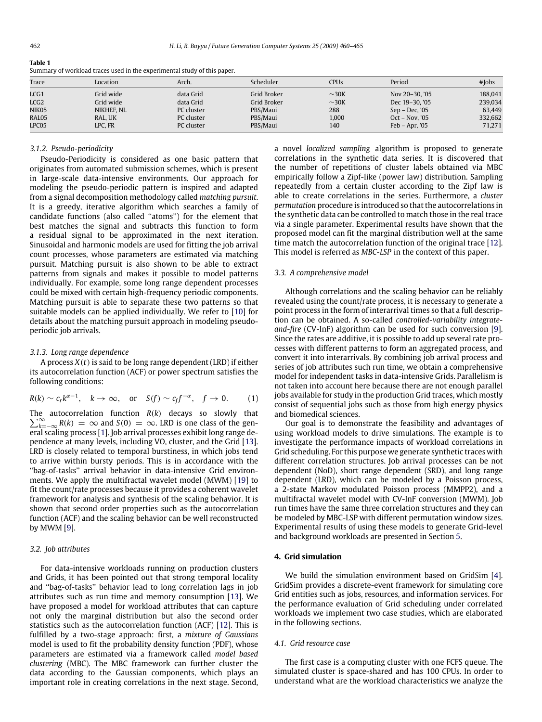#### **Table 1**

Summary of workload traces used in the experimental study of this paper.

| Trace            | Location   | Arch.      | Scheduler   | CPUs       | Period           | #Iobs   |
|------------------|------------|------------|-------------|------------|------------------|---------|
| LCG1             | Grid wide  | data Grid  | Grid Broker | $\sim$ 30K | Nov 20-30, '05   | 188.041 |
| LCG <sub>2</sub> | Grid wide  | data Grid  | Grid Broker | $\sim$ 30K | Dec 19-30, '05   | 239.034 |
| NIK05            | NIKHEF. NL | PC cluster | PBS/Maui    | 288        | Sep – Dec, '05   | 63.449  |
| RAL05            | RAL. UK    | PC cluster | PBS/Maui    | 1,000      | $Oct - Nov, '05$ | 332.662 |
| LPC05            | LPC. FR    | PC cluster | PBS/Maui    | 140        | Feb – Apr, '05   | 71.271  |

### *3.1.2. Pseudo-periodicity*

Pseudo-Periodicity is considered as one basic pattern that originates from automated submission schemes, which is present in large-scale data-intensive environments. Our approach for modeling the pseudo-periodic pattern is inspired and adapted from a signal decomposition methodology called *matching pursuit*. It is a greedy, iterative algorithm which searches a family of candidate functions (also called ''atoms'') for the element that best matches the signal and subtracts this function to form a residual signal to be approximated in the next iteration. Sinusoidal and harmonic models are used for fitting the job arrival count processes, whose parameters are estimated via matching pursuit. Matching pursuit is also shown to be able to extract patterns from signals and makes it possible to model patterns individually. For example, some long range dependent processes could be mixed with certain high-frequency periodic components. Matching pursuit is able to separate these two patterns so that suitable models can be applied individually. We refer to [10] for details about the matching pursuit approach in modeling pseudoperiodic job arrivals.

#### *3.1.3. Long range dependence*

A process  $X(t)$  is said to be long range dependent (LRD) if either its autocorrelation function (ACF) or power spectrum satisfies the following conditions:

$$
R(k) \sim c_r k^{\alpha-1}
$$
,  $k \to \infty$ , or  $S(f) \sim c_f f^{-\alpha}$ ,  $f \to 0$ . (1)

The autocorrelation function *R*(*k*) decays so slowly that  $\sum_{k=-\infty}^{\infty} R(k) = \infty$  and *S*(0) = ∞. LRD is one class of the general scaling process [1]. Job arrival processes exhibit long range dependence at many levels, including VO, cluster, and the Grid [13]. LRD is closely related to temporal burstiness, in which jobs tend to arrive within bursty periods. This is in accordance with the ''bag-of-tasks'' arrival behavior in data-intensive Grid environments. We apply the multifractal wavelet model (MWM) [19] to fit the count/rate processes because it provides a coherent wavelet framework for analysis and synthesis of the scaling behavior. It is shown that second order properties such as the autocorrelation function (ACF) and the scaling behavior can be well reconstructed by MWM [9].

#### *3.2. Job attributes*

For data-intensive workloads running on production clusters and Grids, it has been pointed out that strong temporal locality and ''bag-of-tasks'' behavior lead to long correlation lags in job attributes such as run time and memory consumption [13]. We have proposed a model for workload attributes that can capture not only the marginal distribution but also the second order statistics such as the autocorrelation function (ACF) [12]. This is fulfilled by a two-stage approach: first, a *mixture of Gaussians* model is used to fit the probability density function (PDF), whose parameters are estimated via a framework called *model based clustering* (MBC). The MBC framework can further cluster the data according to the Gaussian components, which plays an important role in creating correlations in the next stage. Second, a novel *localized sampling* algorithm is proposed to generate correlations in the synthetic data series. It is discovered that the number of repetitions of cluster labels obtained via MBC empirically follow a Zipf-like (power law) distribution. Sampling repeatedly from a certain cluster according to the Zipf law is able to create correlations in the series. Furthermore, a *cluster permutation* procedure is introduced so that the autocorrelations in the synthetic data can be controlled to match those in the real trace via a single parameter. Experimental results have shown that the proposed model can fit the marginal distribution well at the same time match the autocorrelation function of the original trace [12]. This model is referred as *MBC-LSP* in the context of this paper.

#### *3.3. A comprehensive model*

Although correlations and the scaling behavior can be reliably revealed using the count/rate process, it is necessary to generate a point process in the form of interarrival times so that a full description can be obtained. A so-called *controlled-variability integrateand-fire* (CV-InF) algorithm can be used for such conversion [9]. Since the rates are additive, it is possible to add up several rate processes with different patterns to form an aggregated process, and convert it into interarrivals. By combining job arrival process and series of job attributes such run time, we obtain a comprehensive model for independent tasks in data-intensive Grids. Parallelism is not taken into account here because there are not enough parallel jobs available for study in the production Grid traces, which mostly consist of sequential jobs such as those from high energy physics and biomedical sciences.

Our goal is to demonstrate the feasibility and advantages of using workload models to drive simulations. The example is to investigate the performance impacts of workload correlations in Grid scheduling. For this purpose we generate synthetic traces with different correlation structures. Job arrival processes can be not dependent (NoD), short range dependent (SRD), and long range dependent (LRD), which can be modeled by a Poisson process, a 2-state Markov modulated Poisson process (MMPP2), and a multifractal wavelet model with CV-InF conversion (MWM). Job run times have the same three correlation structures and they can be modeled by MBC-LSP with different permutation window sizes. Experimental results of using these models to generate Grid-level and background workloads are presented in Section 5.

### **4. Grid simulation**

We build the simulation environment based on GridSim [4]. GridSim provides a discrete-event framework for simulating core Grid entities such as jobs, resources, and information services. For the performance evaluation of Grid scheduling under correlated workloads we implement two case studies, which are elaborated in the following sections.

#### *4.1. Grid resource case*

The first case is a computing cluster with one FCFS queue. The simulated cluster is space-shared and has 100 CPUs. In order to understand what are the workload characteristics we analyze the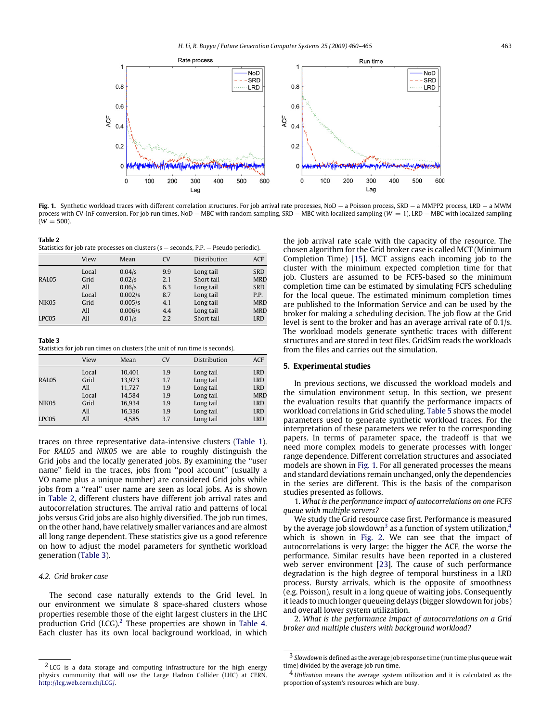

Fig. 1. Synthetic workload traces with different correlation structures. For job arrival rate processes, NoD - a Poisson process, SRD - a MMPP2 process, LRD - a MWM process with CV-InF conversion. For job run times, NoD — MBC with random sampling, SRD — MBC with localized sampling (*W* = 1), LRD — MBC with localized sampling  $(W = 500)$ .

| Table 2                                                                                  |
|------------------------------------------------------------------------------------------|
| Statistics for job rate processes on clusters $(s -$ seconds, P.P. $-$ Pseudo periodic). |

|       | View  | Mean    | <b>CV</b> | Distribution | <b>ACF</b> |
|-------|-------|---------|-----------|--------------|------------|
|       | Local | 0.04/s  | 9.9       | Long tail    | <b>SRD</b> |
| RAL05 | Grid  | 0.02/s  | 2.1       | Short tail   | <b>MRD</b> |
|       | All   | 0.06/s  | 6.3       | Long tail    | <b>SRD</b> |
|       | Local | 0.002/s | 8.7       | Long tail    | P.P.       |
| NIK05 | Grid  | 0.005/s | 4.1       | Long tail    | <b>MRD</b> |
|       | All   | 0.006/s | 4.4       | Long tail    | <b>MRD</b> |
| LPC05 | All   | 0.01/s  | 2.2       | Short tail   | <b>LRD</b> |

**Table 3**

Statistics for job run times on clusters (the unit of run time is seconds).

|       | View  | Mean   | CV  | Distribution | <b>ACF</b> |
|-------|-------|--------|-----|--------------|------------|
|       | Local | 10.401 | 1.9 | Long tail    | <b>LRD</b> |
| RAL05 | Grid  | 13,973 | 1.7 | Long tail    | <b>LRD</b> |
|       | All   | 11,727 | 1.9 | Long tail    | <b>LRD</b> |
|       | Local | 14.584 | 1.9 | Long tail    | <b>MRD</b> |
| NIK05 | Grid  | 16.934 | 1.9 | Long tail    | <b>LRD</b> |
|       | All   | 16,336 | 1.9 | Long tail    | <b>LRD</b> |
| LPC05 | All   | 4,585  | 3.7 | Long tail    | <b>LRD</b> |

traces on three representative data-intensive clusters (Table 1). For *RAL05* and *NIK05* we are able to roughly distinguish the Grid jobs and the locally generated jobs. By examining the ''user name" field in the traces, jobs from "pool account" (usually a VO name plus a unique number) are considered Grid jobs while jobs from a ''real'' user name are seen as local jobs. As is shown in Table 2, different clusters have different job arrival rates and autocorrelation structures. The arrival ratio and patterns of local jobs versus Grid jobs are also highly diversified. The job run times, on the other hand, have relatively smaller variances and are almost all long range dependent. These statistics give us a good reference on how to adjust the model parameters for synthetic workload generation (Table 3).

### *4.2. Grid broker case*

The second case naturally extends to the Grid level. In our environment we simulate 8 space-shared clusters whose properties resemble those of the eight largest clusters in the LHC production Grid (LCG). $^2$  These properties are shown in Table 4. Each cluster has its own local background workload, in which the job arrival rate scale with the capacity of the resource. The chosen algorithm for the Grid broker case is called MCT (Minimum Completion Time) [15]. MCT assigns each incoming job to the cluster with the minimum expected completion time for that job. Clusters are assumed to be FCFS-based so the minimum completion time can be estimated by simulating FCFS scheduling for the local queue. The estimated minimum completion times are published to the Information Service and can be used by the broker for making a scheduling decision. The job flow at the Grid level is sent to the broker and has an average arrival rate of 0.1/s. The workload models generate synthetic traces with different structures and are stored in text files. GridSim reads the workloads from the files and carries out the simulation.

#### **5. Experimental studies**

In previous sections, we discussed the workload models and the simulation environment setup. In this section, we present the evaluation results that quantify the performance impacts of workload correlations in Grid scheduling. Table 5 shows the model parameters used to generate synthetic workload traces. For the interpretation of these parameters we refer to the corresponding papers. In terms of parameter space, the tradeoff is that we need more complex models to generate processes with longer range dependence. Different correlation structures and associated models are shown in Fig. 1. For all generated processes the means and standard deviations remain unchanged, only the dependencies in the series are different. This is the basis of the comparison studies presented as follows.

1. *What is the performance impact of autocorrelations on one FCFS queue with multiple servers?*

We study the Grid resource case first. Performance is measured by the average job slowdown<sup>3</sup> as a function of system utilization,<sup>4</sup> which is shown in Fig. 2. We can see that the impact of autocorrelations is very large: the bigger the ACF, the worse the performance. Similar results have been reported in a clustered web server environment [23]. The cause of such performance degradation is the high degree of temporal burstiness in a LRD process. Bursty arrivals, which is the opposite of smoothness (e.g. Poisson), result in a long queue of waiting jobs. Consequently it leads to much longer queueing delays (bigger slowdown for jobs) and overall lower system utilization.

2. *What is the performance impact of autocorrelations on a Grid broker and multiple clusters with background workload?*

<sup>2</sup> LCG is a data storage and computing infrastructure for the high energy physics community that will use the Large Hadron Collider (LHC) at CERN. http://lcg.web.cern.ch/LCG/.

<sup>3</sup> *Slowdown* is defined as the average job response time (run time plus queue wait time) divided by the average job run time.

<sup>4</sup> *Utilization* means the average system utilization and it is calculated as the proportion of system's resources which are busy.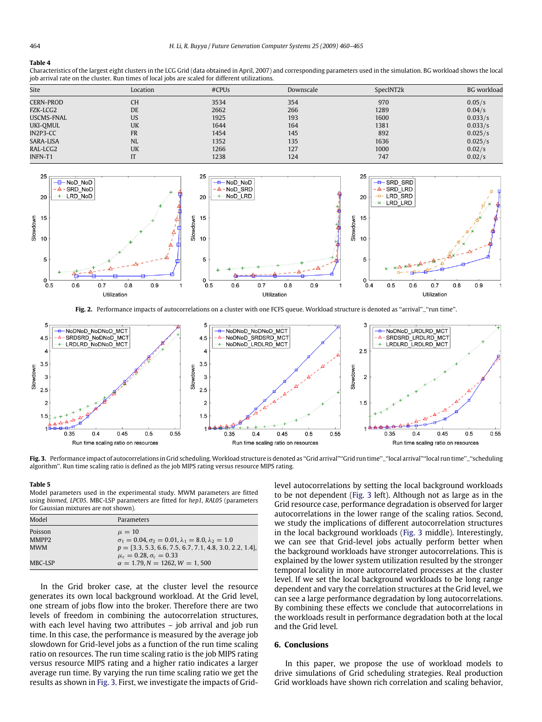#### **Table 4**

Characteristics of the largest eight clusters in the LCG Grid (data obtained in April, 2007) and corresponding parameters used in the simulation. BG workload shows the local job arrival rate on the cluster. Run times of local jobs are scaled for different utilizations.

| Site             | Location  | #CPIJs | Downscale | SpecINT2k | <b>BG</b> workload |
|------------------|-----------|--------|-----------|-----------|--------------------|
| <b>CERN-PROD</b> | <b>CH</b> | 3534   | 354       | 970       | 0.05/s             |
| FZK-LCG2         | DE        | 2662   | 266       | 1289      | 0.04/s             |
| USCMS-FNAL       | US        | 1925   | 193       | 1600      | 0.033/s            |
| UKI-OMUL         | UK        | 1644   | 164       | 1381      | 0.033/s            |
| IN2P3-CC         | <b>FR</b> | 1454   | 145       | 892       | 0.025/s            |
| SARA-LISA        | NL        | 1352   | 135       | 1636      | 0.025/s            |
| RAL-LCG2         | UK        | 1266   | 127       | 1000      | 0.02/s             |
| INFN-T1          | IT        | 1238   | 124       | 747       | 0.02/s             |



Fig. 2. Performance impacts of autocorrelations on a cluster with one FCFS queue. Workload structure is denoted as "arrival"\_"run time".



Fig. 3. Performance impact of autocorrelations in Grid scheduling. Workload structure is denoted as "Grid arrival""Grid run time"\_"local arrival""local run time"\_"scheduling algorithm''. Run time scaling ratio is defined as the job MIPS rating versus resource MIPS rating.

### **Table 5**

Model parameters used in the experimental study. MWM parameters are fitted using *biomed, LPC05*. MBC-LSP parameters are fitted for *hep1, RAL05* (parameters for Gaussian mixtures are not shown).

| Model   | Parameters                                                           |
|---------|----------------------------------------------------------------------|
| Poisson | $\mu = 10$                                                           |
| MMPP2   | $\sigma_1 = 0.04, \sigma_2 = 0.01, \lambda_1 = 8.0, \lambda_2 = 1.0$ |
| MWM     | $p = [3.3, 5.3, 6.6, 7.5, 6.7, 7.1, 4.8, 3.0, 2.2, 1.4],$            |
|         | $\mu_c = 0.28, \sigma_c = 0.33$                                      |
| MBC-LSP | $\alpha = 1.79, N = 1262, W = 1,500$                                 |

In the Grid broker case, at the cluster level the resource generates its own local background workload. At the Grid level, one stream of jobs flow into the broker. Therefore there are two levels of freedom in combining the autocorrelation structures, with each level having two attributes – job arrival and job run time. In this case, the performance is measured by the average job slowdown for Grid-level jobs as a function of the run time scaling ratio on resources. The run time scaling ratio is the job MIPS rating versus resource MIPS rating and a higher ratio indicates a larger average run time. By varying the run time scaling ratio we get the results as shown in Fig. 3. First, we investigate the impacts of Gridlevel autocorrelations by setting the local background workloads to be not dependent (Fig. 3 left). Although not as large as in the Grid resource case, performance degradation is observed for larger autocorrelations in the lower range of the scaling ratios. Second, we study the implications of different autocorrelation structures in the local background workloads (Fig. 3 middle). Interestingly, we can see that Grid-level jobs actually perform better when the background workloads have stronger autocorrelations. This is explained by the lower system utilization resulted by the stronger temporal locality in more autocorrelated processes at the cluster level. If we set the local background workloads to be long range dependent and vary the correlation structures at the Grid level, we can see a large performance degradation by long autocorrelations. By combining these effects we conclude that autocorrelations in the workloads result in performance degradation both at the local and the Grid level.

## **6. Conclusions**

In this paper, we propose the use of workload models to drive simulations of Grid scheduling strategies. Real production Grid workloads have shown rich correlation and scaling behavior,